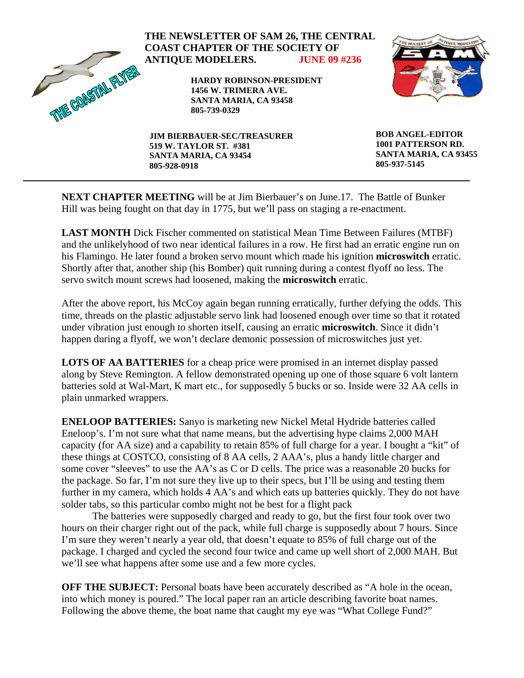

## **THE NEWSLETTER OF SAM 26, THE CENTRAL COAST CHAPTER OF THE SOCIETY OF ANTIQUE MODELERS. JUNE 09 #236**

**HARDY ROBINSON-PRESIDENT 1456 W. TRIMERA AVE. SANTA MARIA, CA 93458 805-739-0329** 



**JIM BIERBAUER-SEC/TREASURER 519 W. TAYLOR ST. #381 SANTA MARIA, CA 93454 805-928-0918** 

**BOB ANGEL-EDITOR 1001 PATTERSON RD. SANTA MARIA, CA 93455 805-937-5145** 

**NEXT CHAPTER MEETING** will be at Jim Bierbauer's on June.17. The Battle of Bunker Hill was being fought on that day in 1775, but we'll pass on staging a re-enactment.

**LAST MONTH** Dick Fischer commented on statistical Mean Time Between Failures (MTBF) and the unlikelyhood of two near identical failures in a row. He first had an erratic engine run on his Flamingo. He later found a broken servo mount which made his ignition **microswitch** erratic. Shortly after that, another ship (his Bomber) quit running during a contest flyoff no less. The servo switch mount screws had loosened, making the **microswitch** erratic.

After the above report, his McCoy again began running erratically, further defying the odds. This time, threads on the plastic adjustable servo link had loosened enough over time so that it rotated under vibration just enough to shorten itself, causing an erratic **microswitch**. Since it didn't happen during a flyoff, we won't declare demonic possession of microswitches just yet.

**LOTS OF AA BATTERIES** for a cheap price were promised in an internet display passed along by Steve Remington. A fellow demonstrated opening up one of those square 6 volt lantern batteries sold at Wal-Mart, K mart etc., for supposedly 5 bucks or so. Inside were 32 AA cells in plain unmarked wrappers.

**ENELOOP BATTERIES:** Sanyo is marketing new Nickel Metal Hydride batteries called Eneloop's. I'm not sure what that name means, but the advertising hype claims 2,000 MAH capacity (for AA size) and a capability to retain 85% of full charge for a year. I bought a "kit" of these things at COSTCO, consisting of 8 AA cells, 2 AAA's, plus a handy little charger and some cover "sleeves" to use the AA's as C or D cells. The price was a reasonable 20 bucks for the package. So far, I'm not sure they live up to their specs, but I'll be using and testing them further in my camera, which holds 4 AA's and which eats up batteries quickly. They do not have solder tabs, so this particular combo might not be best for a flight pack

 The batteries were supposedly charged and ready to go, but the first four took over two hours on their charger right out of the pack, while full charge is supposedly about 7 hours. Since I'm sure they weren't nearly a year old, that doesn't equate to 85% of full charge out of the package. I charged and cycled the second four twice and came up well short of 2,000 MAH. But we'll see what happens after some use and a few more cycles.

**OFF THE SUBJECT:** Personal boats have been accurately described as "A hole in the ocean, into which money is poured." The local paper ran an article describing favorite boat names. Following the above theme, the boat name that caught my eye was "What College Fund?"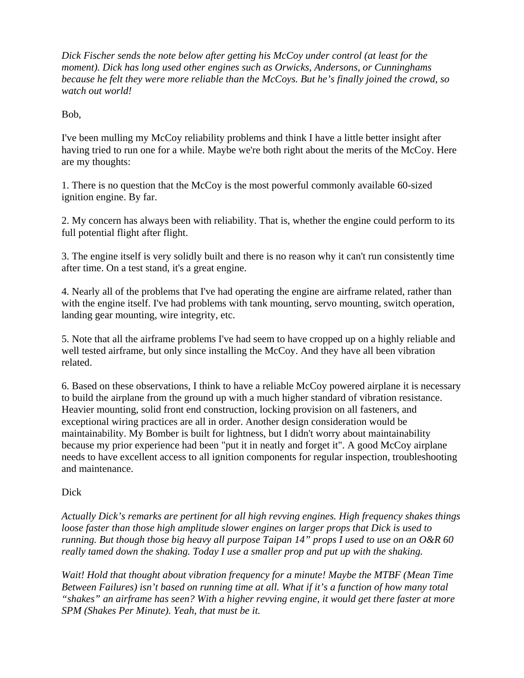*Dick Fischer sends the note below after getting his McCoy under control (at least for the moment). Dick has long used other engines such as Orwicks, Andersons, or Cunninghams because he felt they were more reliable than the McCoys. But he's finally joined the crowd, so watch out world!* 

Bob,

I've been mulling my McCoy reliability problems and think I have a little better insight after having tried to run one for a while. Maybe we're both right about the merits of the McCoy. Here are my thoughts:

1. There is no question that the McCoy is the most powerful commonly available 60-sized ignition engine. By far.

2. My concern has always been with reliability. That is, whether the engine could perform to its full potential flight after flight.

3. The engine itself is very solidly built and there is no reason why it can't run consistently time after time. On a test stand, it's a great engine.

4. Nearly all of the problems that I've had operating the engine are airframe related, rather than with the engine itself. I've had problems with tank mounting, servo mounting, switch operation, landing gear mounting, wire integrity, etc.

5. Note that all the airframe problems I've had seem to have cropped up on a highly reliable and well tested airframe, but only since installing the McCoy. And they have all been vibration related.

6. Based on these observations, I think to have a reliable McCoy powered airplane it is necessary to build the airplane from the ground up with a much higher standard of vibration resistance. Heavier mounting, solid front end construction, locking provision on all fasteners, and exceptional wiring practices are all in order. Another design consideration would be maintainability. My Bomber is built for lightness, but I didn't worry about maintainability because my prior experience had been "put it in neatly and forget it". A good McCoy airplane needs to have excellent access to all ignition components for regular inspection, troubleshooting and maintenance.

# Dick

*Actually Dick's remarks are pertinent for all high revving engines. High frequency shakes things loose faster than those high amplitude slower engines on larger props that Dick is used to running. But though those big heavy all purpose Taipan 14" props I used to use on an O&R 60 really tamed down the shaking. Today I use a smaller prop and put up with the shaking.* 

*Wait! Hold that thought about vibration frequency for a minute! Maybe the MTBF (Mean Time Between Failures) isn't based on running time at all. What if it's a function of how many total "shakes" an airframe has seen? With a higher revving engine, it would get there faster at more SPM (Shakes Per Minute). Yeah, that must be it.*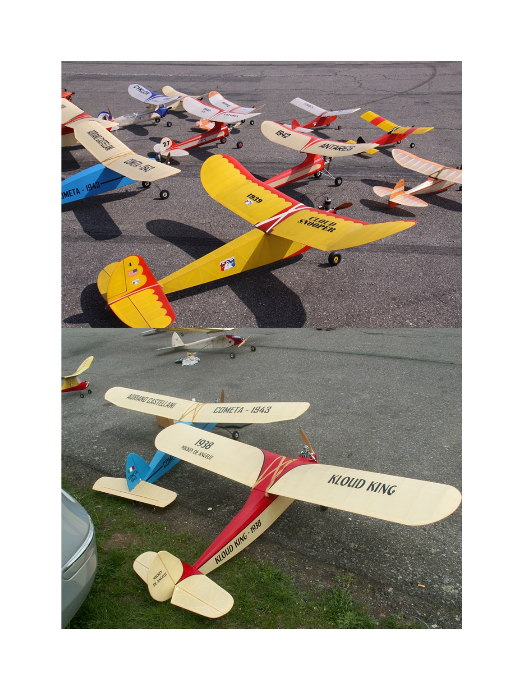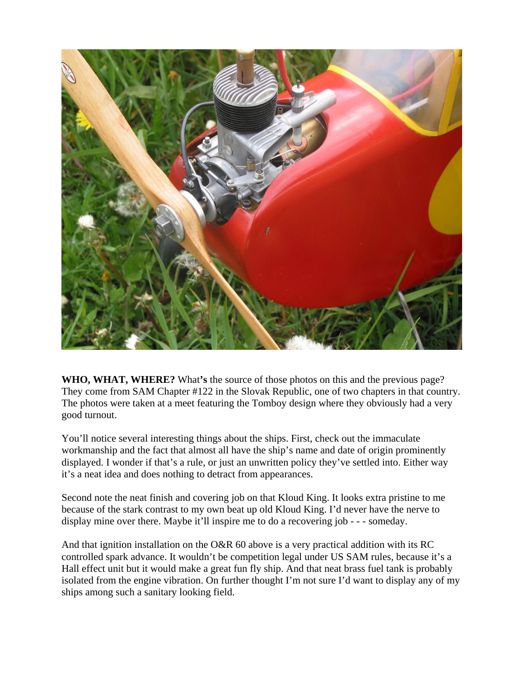

**WHO, WHAT, WHERE?** What**'s** the source of those photos on this and the previous page? They come from SAM Chapter #122 in the Slovak Republic, one of two chapters in that country. The photos were taken at a meet featuring the Tomboy design where they obviously had a very good turnout.

You'll notice several interesting things about the ships. First, check out the immaculate workmanship and the fact that almost all have the ship's name and date of origin prominently displayed. I wonder if that's a rule, or just an unwritten policy they've settled into. Either way it's a neat idea and does nothing to detract from appearances.

Second note the neat finish and covering job on that Kloud King. It looks extra pristine to me because of the stark contrast to my own beat up old Kloud King. I'd never have the nerve to display mine over there. Maybe it'll inspire me to do a recovering job - - - someday.

And that ignition installation on the O&R 60 above is a very practical addition with its RC controlled spark advance. It wouldn't be competition legal under US SAM rules, because it's a Hall effect unit but it would make a great fun fly ship. And that neat brass fuel tank is probably isolated from the engine vibration. On further thought I'm not sure I'd want to display any of my ships among such a sanitary looking field.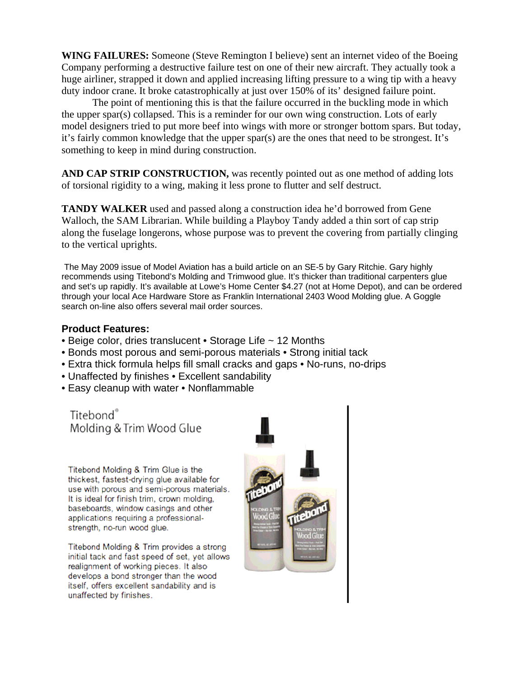**WING FAILURES:** Someone (Steve Remington I believe) sent an internet video of the Boeing Company performing a destructive failure test on one of their new aircraft. They actually took a huge airliner, strapped it down and applied increasing lifting pressure to a wing tip with a heavy duty indoor crane. It broke catastrophically at just over 150% of its' designed failure point.

The point of mentioning this is that the failure occurred in the buckling mode in which the upper spar(s) collapsed. This is a reminder for our own wing construction. Lots of early model designers tried to put more beef into wings with more or stronger bottom spars. But today, it's fairly common knowledge that the upper spar(s) are the ones that need to be strongest. It's something to keep in mind during construction.

**AND CAP STRIP CONSTRUCTION,** was recently pointed out as one method of adding lots of torsional rigidity to a wing, making it less prone to flutter and self destruct.

**TANDY WALKER** used and passed along a construction idea he'd borrowed from Gene Walloch, the SAM Librarian. While building a Playboy Tandy added a thin sort of cap strip along the fuselage longerons, whose purpose was to prevent the covering from partially clinging to the vertical uprights.

The May 2009 issue of Model Aviation has a build article on an SE-5 by Gary Ritchie. Gary highly recommends using Titebond's Molding and Trimwood glue. It's thicker than traditional carpenters glue and set's up rapidly. It's available at Lowe's Home Center \$4.27 (not at Home Depot), and can be ordered through your local Ace Hardware Store as Franklin International 2403 Wood Molding glue. A Goggle search on-line also offers several mail order sources.

### **Product Features:**

- Beige color, dries translucent Storage Life ~ 12 Months
- Bonds most porous and semi-porous materials Strong initial tack
- Extra thick formula helps fill small cracks and gaps No-runs, no-drips
- Unaffected by finishes Excellent sandability
- Easy cleanup with water Nonflammable

Titebond® Molding & Trim Wood Glue

Titebond Molding & Trim Glue is the thickest, fastest-drying glue available for use with porous and semi-porous materials. It is ideal for finish trim, crown molding, baseboards, window casings and other applications requiring a professionalstrength, no-run wood glue.

Titebond Molding & Trim provides a strong initial tack and fast speed of set, yet allows realignment of working pieces. It also develops a bond stronger than the wood itself, offers excellent sandability and is unaffected by finishes.

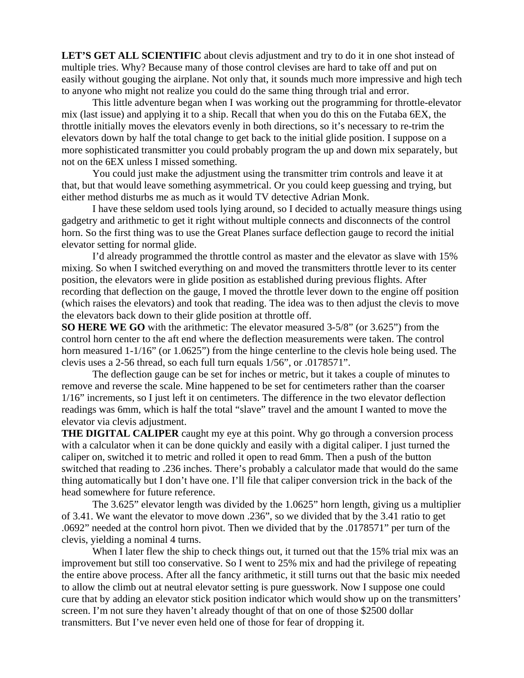LET'S GET ALL SCIENTIFIC about clevis adjustment and try to do it in one shot instead of multiple tries. Why? Because many of those control clevises are hard to take off and put on easily without gouging the airplane. Not only that, it sounds much more impressive and high tech to anyone who might not realize you could do the same thing through trial and error.

This little adventure began when I was working out the programming for throttle-elevator mix (last issue) and applying it to a ship. Recall that when you do this on the Futaba 6EX, the throttle initially moves the elevators evenly in both directions, so it's necessary to re-trim the elevators down by half the total change to get back to the initial glide position. I suppose on a more sophisticated transmitter you could probably program the up and down mix separately, but not on the 6EX unless I missed something.

You could just make the adjustment using the transmitter trim controls and leave it at that, but that would leave something asymmetrical. Or you could keep guessing and trying, but either method disturbs me as much as it would TV detective Adrian Monk.

 I have these seldom used tools lying around, so I decided to actually measure things using gadgetry and arithmetic to get it right without multiple connects and disconnects of the control horn. So the first thing was to use the Great Planes surface deflection gauge to record the initial elevator setting for normal glide.

 I'd already programmed the throttle control as master and the elevator as slave with 15% mixing. So when I switched everything on and moved the transmitters throttle lever to its center position, the elevators were in glide position as established during previous flights. After recording that deflection on the gauge, I moved the throttle lever down to the engine off position (which raises the elevators) and took that reading. The idea was to then adjust the clevis to move the elevators back down to their glide position at throttle off.

**SO HERE WE GO** with the arithmetic: The elevator measured 3-5/8" (or 3.625") from the control horn center to the aft end where the deflection measurements were taken. The control horn measured 1-1/16" (or 1.0625") from the hinge centerline to the clevis hole being used. The clevis uses a 2-56 thread, so each full turn equals 1/56", or .0178571".

 The deflection gauge can be set for inches or metric, but it takes a couple of minutes to remove and reverse the scale. Mine happened to be set for centimeters rather than the coarser 1/16" increments, so I just left it on centimeters. The difference in the two elevator deflection readings was 6mm, which is half the total "slave" travel and the amount I wanted to move the elevator via clevis adjustment.

**THE DIGITAL CALIPER** caught my eye at this point. Why go through a conversion process with a calculator when it can be done quickly and easily with a digital caliper. I just turned the caliper on, switched it to metric and rolled it open to read 6mm. Then a push of the button switched that reading to .236 inches. There's probably a calculator made that would do the same thing automatically but I don't have one. I'll file that caliper conversion trick in the back of the head somewhere for future reference.

 The 3.625" elevator length was divided by the 1.0625" horn length, giving us a multiplier of 3.41. We want the elevator to move down .236", so we divided that by the 3.41 ratio to get .0692" needed at the control horn pivot. Then we divided that by the .0178571" per turn of the clevis, yielding a nominal 4 turns.

When I later flew the ship to check things out, it turned out that the 15% trial mix was an improvement but still too conservative. So I went to 25% mix and had the privilege of repeating the entire above process. After all the fancy arithmetic, it still turns out that the basic mix needed to allow the climb out at neutral elevator setting is pure guesswork. Now I suppose one could cure that by adding an elevator stick position indicator which would show up on the transmitters' screen. I'm not sure they haven't already thought of that on one of those \$2500 dollar transmitters. But I've never even held one of those for fear of dropping it.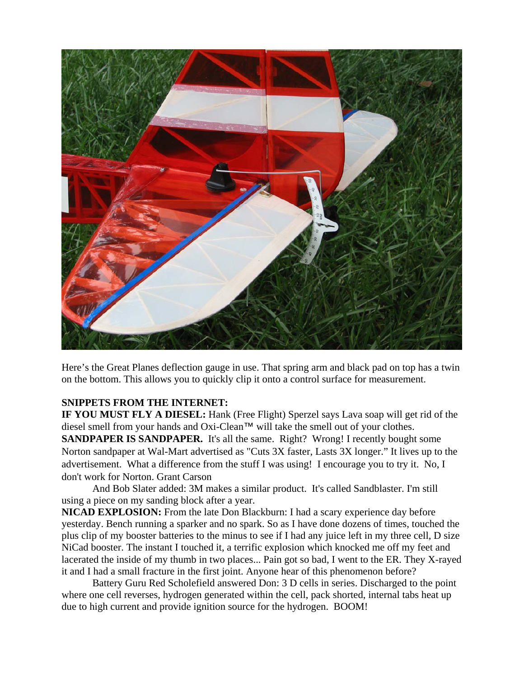

Here's the Great Planes deflection gauge in use. That spring arm and black pad on top has a twin on the bottom. This allows you to quickly clip it onto a control surface for measurement.

### **SNIPPETS FROM THE INTERNET:**

**IF YOU MUST FLY A DIESEL:** Hank (Free Flight) Sperzel says Lava soap will get rid of the diesel smell from your hands and Oxi-Clean™ will take the smell out of your clothes.

**SANDPAPER IS SANDPAPER.** It's all the same. Right? Wrong! I recently bought some Norton sandpaper at Wal-Mart advertised as "Cuts 3X faster, Lasts 3X longer." It lives up to the advertisement. What a difference from the stuff I was using! I encourage you to try it. No, I don't work for Norton. Grant Carson

And Bob Slater added: 3M makes a similar product. It's called Sandblaster. I'm still using a piece on my sanding block after a year.

**NICAD EXPLOSION:** From the late Don Blackburn: I had a scary experience day before yesterday. Bench running a sparker and no spark. So as I have done dozens of times, touched the plus clip of my booster batteries to the minus to see if I had any juice left in my three cell, D size NiCad booster. The instant I touched it, a terrific explosion which knocked me off my feet and lacerated the inside of my thumb in two places... Pain got so bad, I went to the ER. They X-rayed it and I had a small fracture in the first joint. Anyone hear of this phenomenon before?

 Battery Guru Red Scholefield answered Don: 3 D cells in series. Discharged to the point where one cell reverses, hydrogen generated within the cell, pack shorted, internal tabs heat up due to high current and provide ignition source for the hydrogen. BOOM!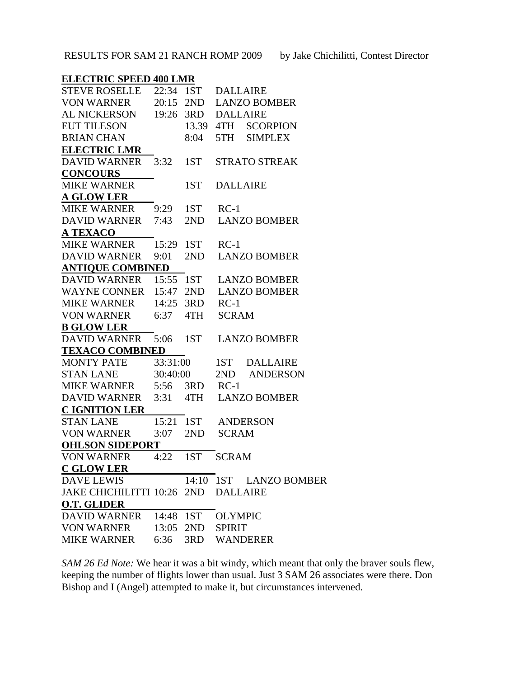#### **ELECTRIC SPEED 400 LMR**

| <b>STEVE ROSELLE</b>       | 22:34 1ST |               | <b>DALLAIRE</b>        |  |  |  |  |  |
|----------------------------|-----------|---------------|------------------------|--|--|--|--|--|
| <b>VON WARNER</b>          | 20:15 2ND |               | <b>LANZO BOMBER</b>    |  |  |  |  |  |
| <b>AL NICKERSON</b>        |           | 19:26 3RD     | <b>DALLAIRE</b>        |  |  |  |  |  |
| <b>EUT TILESON</b>         |           | 13.39         | <b>SCORPION</b><br>4TH |  |  |  |  |  |
| <b>BRIAN CHAN</b>          |           | 8:04          | <b>SIMPLEX</b><br>5TH  |  |  |  |  |  |
| <b>ELECTRIC LMR</b>        |           |               |                        |  |  |  |  |  |
| <b>DAVID WARNER</b>        | 3:32      | 1ST           | <b>STRATO STREAK</b>   |  |  |  |  |  |
| <b>CONCOURS</b>            |           |               |                        |  |  |  |  |  |
| <b>MIKE WARNER</b>         |           | 1ST           | <b>DALLAIRE</b>        |  |  |  |  |  |
| <b>A GLOW LER</b>          |           |               |                        |  |  |  |  |  |
| <b>MIKE WARNER</b>         | 9:29      | 1ST           | $RC-1$                 |  |  |  |  |  |
| DAVID WARNER               | 7:43      | 2ND           | <b>LANZO BOMBER</b>    |  |  |  |  |  |
| <b>A TEXACO</b>            |           |               |                        |  |  |  |  |  |
| <b>MIKE WARNER</b>         | 15:29     | 1ST           | $RC-1$                 |  |  |  |  |  |
| DAVID WARNER               | 9:01      | 2ND           | <b>LANZO BOMBER</b>    |  |  |  |  |  |
| <b>ANTIQUE COMBINED</b>    |           |               |                        |  |  |  |  |  |
| DAVID WARNER 15:55 1ST     |           |               | <b>LANZO BOMBER</b>    |  |  |  |  |  |
| WAYNE CONNER 15:47 2ND     |           |               | <b>LANZO BOMBER</b>    |  |  |  |  |  |
| <b>MIKE WARNER</b>         | 14:25 3RD |               | $RC-1$                 |  |  |  |  |  |
| <b>VON WARNER</b>          | 6:37      | 4TH           | <b>SCRAM</b>           |  |  |  |  |  |
| <b>B GLOW LER</b>          |           |               |                        |  |  |  |  |  |
| DAVID WARNER 5:06          |           | 1ST           | <b>LANZO BOMBER</b>    |  |  |  |  |  |
| <b>TEXACO COMBINED</b>     |           |               |                        |  |  |  |  |  |
| MONTY PATE 33:31:00        |           |               | 1ST DALLAIRE           |  |  |  |  |  |
| <b>STAN LANE</b>           | 30:40:00  |               | 2ND ANDERSON           |  |  |  |  |  |
| <b>MIKE WARNER</b>         |           | 5:56 3RD RC-1 |                        |  |  |  |  |  |
| DAVID WARNER               |           | $3:31$ $4TH$  | <b>LANZO BOMBER</b>    |  |  |  |  |  |
| <b>C IGNITION LER</b>      |           |               |                        |  |  |  |  |  |
| <b>STAN LANE</b>           | 15:21 1ST |               | <b>ANDERSON</b>        |  |  |  |  |  |
| VON WARNER                 | 3:07      | 2ND           | <b>SCRAM</b>           |  |  |  |  |  |
| <b>OHLSON SIDEPORT</b>     |           |               |                        |  |  |  |  |  |
| VON WARNER                 |           | $4:22$ 1ST    | <b>SCRAM</b>           |  |  |  |  |  |
| <b>C GLOW LER</b>          |           |               |                        |  |  |  |  |  |
| <b>DAVE LEWIS</b>          |           |               | 14:10 1ST LANZO BOMBER |  |  |  |  |  |
| JAKE CHICHILITTI 10:26 2ND |           |               | <b>DALLAIRE</b>        |  |  |  |  |  |
| <b>O.T. GLIDER</b>         |           |               |                        |  |  |  |  |  |
| <b>DAVID WARNER</b>        | 14:48 1ST |               | <b>OLYMPIC</b>         |  |  |  |  |  |
| <b>VON WARNER</b>          | 13:05 2ND |               | <b>SPIRIT</b>          |  |  |  |  |  |
| <b>MIKE WARNER</b>         | 6:36      | 3RD           | <b>WANDERER</b>        |  |  |  |  |  |

*SAM 26 Ed Note:* We hear it was a bit windy, which meant that only the braver souls flew, keeping the number of flights lower than usual. Just 3 SAM 26 associates were there. Don Bishop and I (Angel) attempted to make it, but circumstances intervened.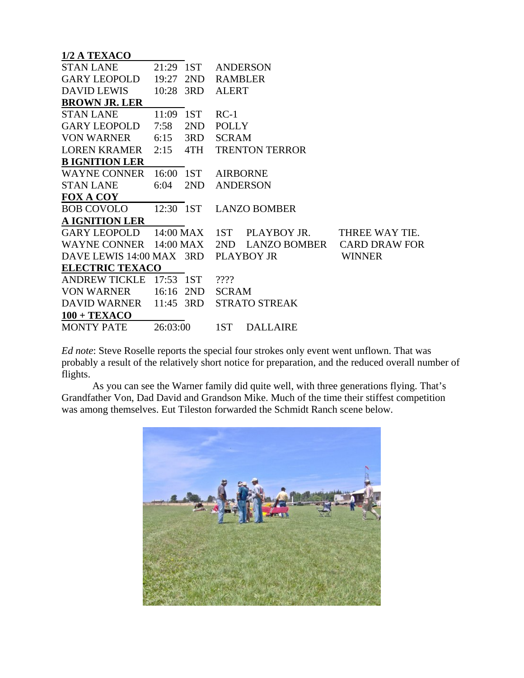| 1/2 A TEXACO                         |           |           |                       |                                        |                                                       |  |  |
|--------------------------------------|-----------|-----------|-----------------------|----------------------------------------|-------------------------------------------------------|--|--|
| <b>STAN LANE</b>                     |           | 21:29 1ST | <b>ANDERSON</b>       |                                        |                                                       |  |  |
| GARY LEOPOLD 19:27 2ND               |           |           | <b>RAMBLER</b>        |                                        |                                                       |  |  |
| <b>DAVID LEWIS</b>                   | 10:28 3RD |           | <b>ALERT</b>          |                                        |                                                       |  |  |
| <b>BROWN JR. LER</b>                 |           |           |                       |                                        |                                                       |  |  |
| <b>STAN LANE</b>                     | 11:09 1ST |           | $RC-1$                |                                        |                                                       |  |  |
| GARY LEOPOLD                         | 7:58 2ND  |           | <b>POLLY</b>          |                                        |                                                       |  |  |
| VON WARNER                           |           | 6:15 3RD  | <b>SCRAM</b>          |                                        |                                                       |  |  |
| LOREN KRAMER 2:15 4TH                |           |           | <b>TRENTON TERROR</b> |                                        |                                                       |  |  |
| <b>B IGNITION LER</b>                |           |           |                       |                                        |                                                       |  |  |
| WAYNE CONNER 16:00 1ST AIRBORNE      |           |           |                       |                                        |                                                       |  |  |
| <b>STAN LANE</b>                     |           |           | 6:04 2ND ANDERSON     |                                        |                                                       |  |  |
| <b>FOX A COY</b>                     |           |           |                       |                                        |                                                       |  |  |
| BOB COVOLO 12:30 1ST LANZO BOMBER    |           |           |                       |                                        |                                                       |  |  |
| <b>A IGNITION LER</b>                |           |           |                       |                                        |                                                       |  |  |
|                                      |           |           |                       | GARY LEOPOLD 14:00 MAX 1ST PLAYBOY JR. | THREE WAY TIE.                                        |  |  |
|                                      |           |           |                       |                                        | WAYNE CONNER 14:00 MAX 2ND LANZO BOMBER CARD DRAW FOR |  |  |
| DAVE LEWIS 14:00 MAX 3RD PLAYBOY JR  |           |           |                       |                                        | <b>WINNER</b>                                         |  |  |
| <b>ELECTRIC TEXACO</b>               |           |           |                       |                                        |                                                       |  |  |
| ANDREW TICKLE 17:53 1ST              |           |           | ????                  |                                        |                                                       |  |  |
| VON WARNER 16:16 2ND                 |           |           | <b>SCRAM</b>          |                                        |                                                       |  |  |
| DAVID WARNER 11:45 3RD STRATO STREAK |           |           |                       |                                        |                                                       |  |  |
| $100 + TEXACO$                       |           |           |                       |                                        |                                                       |  |  |
| <b>MONTY PATE</b>                    | 26:03:00  |           |                       | 1ST DALLAIRE                           |                                                       |  |  |

*Ed note*: Steve Roselle reports the special four strokes only event went unflown. That was probably a result of the relatively short notice for preparation, and the reduced overall number of flights.

As you can see the Warner family did quite well, with three generations flying. That's Grandfather Von, Dad David and Grandson Mike. Much of the time their stiffest competition was among themselves. Eut Tileston forwarded the Schmidt Ranch scene below.